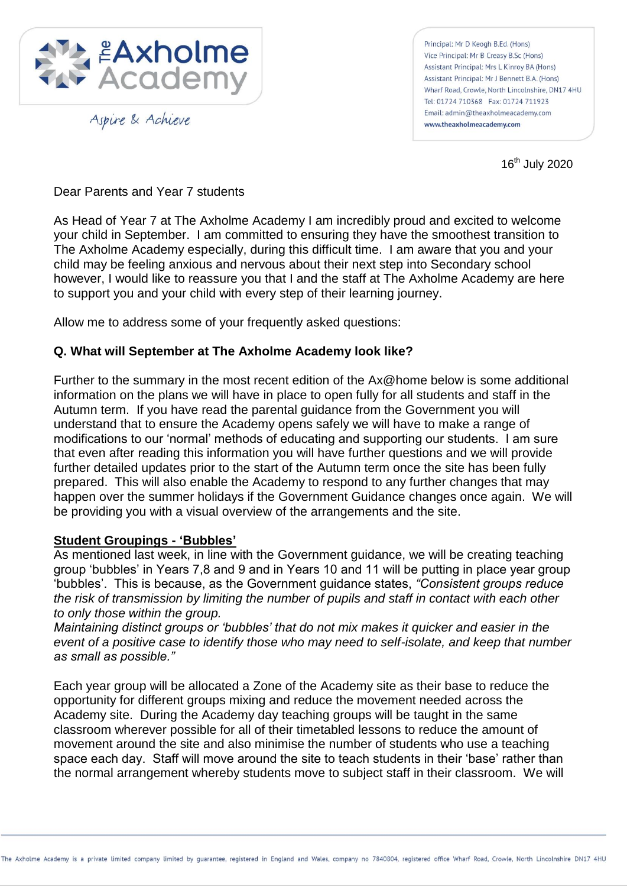

Aspire & Achieve

Principal: Mr D Keogh B.Ed. (Hons) Vice Principal: Mr B Creasy B.Sc (Hons) Assistant Principal: Mrs L Kinroy BA (Hons) Assistant Principal: Mr J Bennett B.A. (Hons) Wharf Road, Crowle, North Lincolnshire, DN17 4HU Tel: 01724 710368 Fax: 01724 711923 Email: admin@theaxholmeacademy.com www.theaxholmeacademy.com

16<sup>th</sup> July 2020

Dear Parents and Year 7 students

As Head of Year 7 at The Axholme Academy I am incredibly proud and excited to welcome your child in September. I am committed to ensuring they have the smoothest transition to The Axholme Academy especially, during this difficult time. I am aware that you and your child may be feeling anxious and nervous about their next step into Secondary school however, I would like to reassure you that I and the staff at The Axholme Academy are here to support you and your child with every step of their learning journey.

Allow me to address some of your frequently asked questions:

#### **Q. What will September at The Axholme Academy look like?**

Further to the summary in the most recent edition of the Ax@home below is some additional information on the plans we will have in place to open fully for all students and staff in the Autumn term. If you have read the parental guidance from the Government you will understand that to ensure the Academy opens safely we will have to make a range of modifications to our 'normal' methods of educating and supporting our students. I am sure that even after reading this information you will have further questions and we will provide further detailed updates prior to the start of the Autumn term once the site has been fully prepared. This will also enable the Academy to respond to any further changes that may happen over the summer holidays if the Government Guidance changes once again. We will be providing you with a visual overview of the arrangements and the site.

#### **Student Groupings - 'Bubbles'**

As mentioned last week, in line with the Government guidance, we will be creating teaching group 'bubbles' in Years 7,8 and 9 and in Years 10 and 11 will be putting in place year group 'bubbles'. This is because, as the Government guidance states, *"Consistent groups reduce the risk of transmission by limiting the number of pupils and staff in contact with each other to only those within the group.*

*Maintaining distinct groups or "bubbles" that do not mix makes it quicker and easier in the event of a positive case to identify those who may need to self-isolate, and keep that number as small as possible."*

Each year group will be allocated a Zone of the Academy site as their base to reduce the opportunity for different groups mixing and reduce the movement needed across the Academy site. During the Academy day teaching groups will be taught in the same classroom wherever possible for all of their timetabled lessons to reduce the amount of movement around the site and also minimise the number of students who use a teaching space each day. Staff will move around the site to teach students in their 'base' rather than the normal arrangement whereby students move to subject staff in their classroom. We will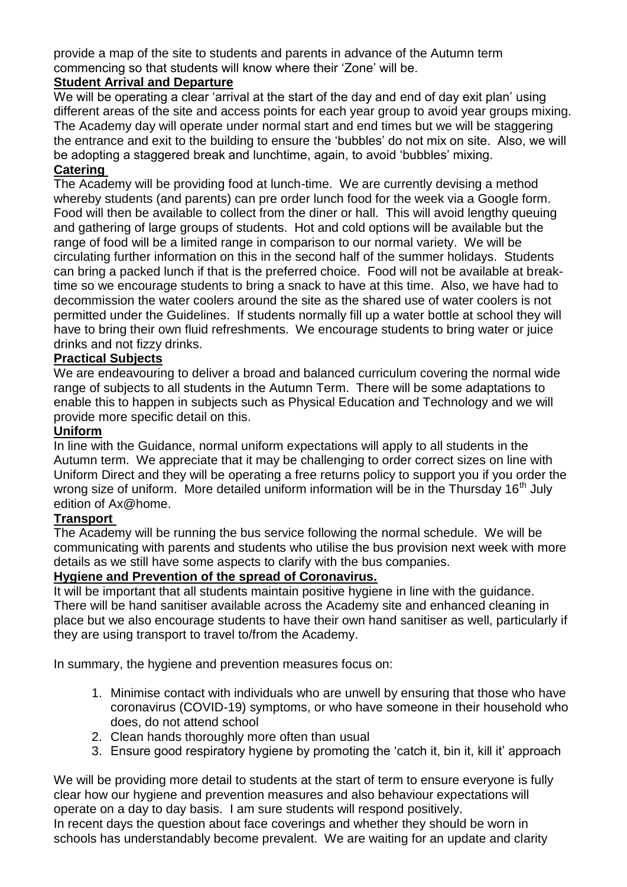provide a map of the site to students and parents in advance of the Autumn term commencing so that students will know where their 'Zone' will be.

#### **Student Arrival and Departure**

We will be operating a clear 'arrival at the start of the day and end of day exit plan' using different areas of the site and access points for each year group to avoid year groups mixing. The Academy day will operate under normal start and end times but we will be staggering the entrance and exit to the building to ensure the 'bubbles' do not mix on site. Also, we will be adopting a staggered break and lunchtime, again, to avoid 'bubbles' mixing.

#### **Catering**

The Academy will be providing food at lunch-time. We are currently devising a method whereby students (and parents) can pre order lunch food for the week via a Google form. Food will then be available to collect from the diner or hall. This will avoid lengthy queuing and gathering of large groups of students. Hot and cold options will be available but the range of food will be a limited range in comparison to our normal variety. We will be circulating further information on this in the second half of the summer holidays. Students can bring a packed lunch if that is the preferred choice. Food will not be available at breaktime so we encourage students to bring a snack to have at this time. Also, we have had to decommission the water coolers around the site as the shared use of water coolers is not permitted under the Guidelines. If students normally fill up a water bottle at school they will have to bring their own fluid refreshments. We encourage students to bring water or juice drinks and not fizzy drinks.

#### **Practical Subjects**

We are endeavouring to deliver a broad and balanced curriculum covering the normal wide range of subjects to all students in the Autumn Term. There will be some adaptations to enable this to happen in subjects such as Physical Education and Technology and we will provide more specific detail on this.

#### **Uniform**

In line with the Guidance, normal uniform expectations will apply to all students in the Autumn term. We appreciate that it may be challenging to order correct sizes on line with Uniform Direct and they will be operating a free returns policy to support you if you order the wrong size of uniform. More detailed uniform information will be in the Thursday  $16<sup>th</sup>$  July edition of Ax@home.

#### **Transport**

The Academy will be running the bus service following the normal schedule. We will be communicating with parents and students who utilise the bus provision next week with more details as we still have some aspects to clarify with the bus companies.

#### **Hygiene and Prevention of the spread of Coronavirus.**

It will be important that all students maintain positive hygiene in line with the guidance. There will be hand sanitiser available across the Academy site and enhanced cleaning in place but we also encourage students to have their own hand sanitiser as well, particularly if they are using transport to travel to/from the Academy.

In summary, the hygiene and prevention measures focus on:

- 1. Minimise contact with individuals who are unwell by ensuring that those who have coronavirus (COVID-19) symptoms, or who have someone in their household who does, do not attend school
- 2. Clean hands thoroughly more often than usual
- 3. Ensure good respiratory hygiene by promoting the 'catch it, bin it, kill it' approach

We will be providing more detail to students at the start of term to ensure everyone is fully clear how our hygiene and prevention measures and also behaviour expectations will operate on a day to day basis. I am sure students will respond positively.

In recent days the question about face coverings and whether they should be worn in schools has understandably become prevalent. We are waiting for an update and clarity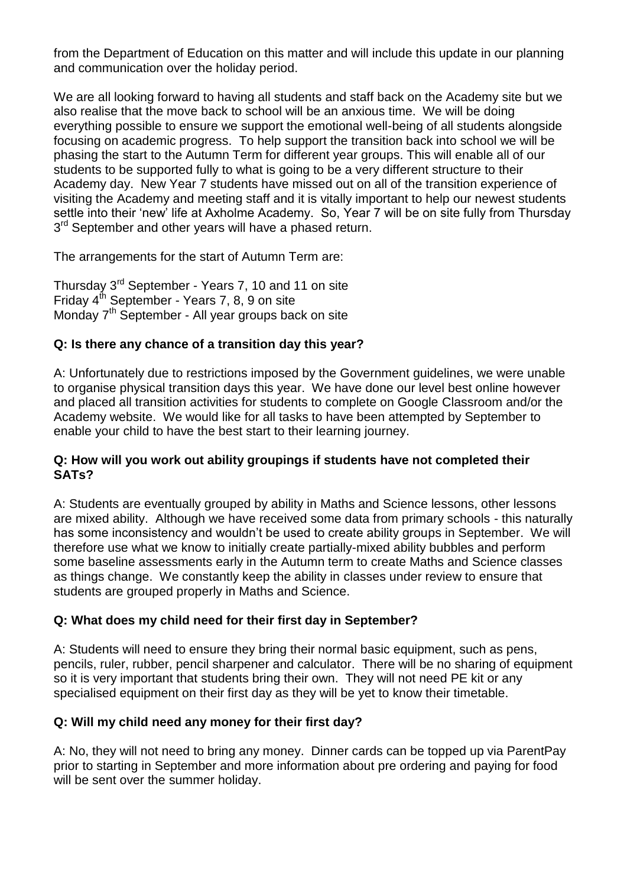from the Department of Education on this matter and will include this update in our planning and communication over the holiday period.

We are all looking forward to having all students and staff back on the Academy site but we also realise that the move back to school will be an anxious time. We will be doing everything possible to ensure we support the emotional well-being of all students alongside focusing on academic progress. To help support the transition back into school we will be phasing the start to the Autumn Term for different year groups. This will enable all of our students to be supported fully to what is going to be a very different structure to their Academy day. New Year 7 students have missed out on all of the transition experience of visiting the Academy and meeting staff and it is vitally important to help our newest students settle into their 'new' life at Axholme Academy. So, Year 7 will be on site fully from Thursday 3<sup>rd</sup> September and other years will have a phased return.

The arrangements for the start of Autumn Term are:

Thursday 3<sup>rd</sup> September - Years 7, 10 and 11 on site Friday  $4^{th}$  September - Years 7, 8, 9 on site Monday  $7<sup>th</sup>$  September - All year groups back on site

# **Q: Is there any chance of a transition day this year?**

A: Unfortunately due to restrictions imposed by the Government guidelines, we were unable to organise physical transition days this year. We have done our level best online however and placed all transition activities for students to complete on Google Classroom and/or the Academy website. We would like for all tasks to have been attempted by September to enable your child to have the best start to their learning journey.

#### **Q: How will you work out ability groupings if students have not completed their SATs?**

A: Students are eventually grouped by ability in Maths and Science lessons, other lessons are mixed ability. Although we have received some data from primary schools - this naturally has some inconsistency and wouldn't be used to create ability groups in September. We will therefore use what we know to initially create partially-mixed ability bubbles and perform some baseline assessments early in the Autumn term to create Maths and Science classes as things change. We constantly keep the ability in classes under review to ensure that students are grouped properly in Maths and Science.

# **Q: What does my child need for their first day in September?**

A: Students will need to ensure they bring their normal basic equipment, such as pens, pencils, ruler, rubber, pencil sharpener and calculator. There will be no sharing of equipment so it is very important that students bring their own. They will not need PE kit or any specialised equipment on their first day as they will be yet to know their timetable.

# **Q: Will my child need any money for their first day?**

A: No, they will not need to bring any money. Dinner cards can be topped up via ParentPay prior to starting in September and more information about pre ordering and paying for food will be sent over the summer holiday.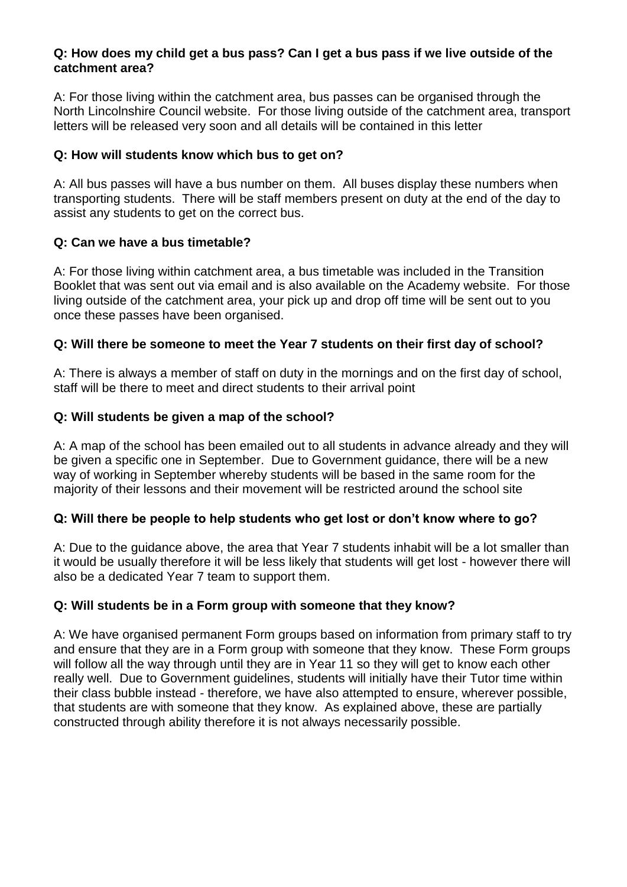#### **Q: How does my child get a bus pass? Can I get a bus pass if we live outside of the catchment area?**

A: For those living within the catchment area, bus passes can be organised through the North Lincolnshire Council website. For those living outside of the catchment area, transport letters will be released very soon and all details will be contained in this letter

#### **Q: How will students know which bus to get on?**

A: All bus passes will have a bus number on them. All buses display these numbers when transporting students. There will be staff members present on duty at the end of the day to assist any students to get on the correct bus.

#### **Q: Can we have a bus timetable?**

A: For those living within catchment area, a bus timetable was included in the Transition Booklet that was sent out via email and is also available on the Academy website. For those living outside of the catchment area, your pick up and drop off time will be sent out to you once these passes have been organised.

# **Q: Will there be someone to meet the Year 7 students on their first day of school?**

A: There is always a member of staff on duty in the mornings and on the first day of school, staff will be there to meet and direct students to their arrival point

#### **Q: Will students be given a map of the school?**

A: A map of the school has been emailed out to all students in advance already and they will be given a specific one in September. Due to Government guidance, there will be a new way of working in September whereby students will be based in the same room for the majority of their lessons and their movement will be restricted around the school site

#### **Q: Will there be people to help students who get lost or don't know where to go?**

A: Due to the guidance above, the area that Year 7 students inhabit will be a lot smaller than it would be usually therefore it will be less likely that students will get lost - however there will also be a dedicated Year 7 team to support them.

# **Q: Will students be in a Form group with someone that they know?**

A: We have organised permanent Form groups based on information from primary staff to try and ensure that they are in a Form group with someone that they know. These Form groups will follow all the way through until they are in Year 11 so they will get to know each other really well. Due to Government guidelines, students will initially have their Tutor time within their class bubble instead - therefore, we have also attempted to ensure, wherever possible, that students are with someone that they know. As explained above, these are partially constructed through ability therefore it is not always necessarily possible.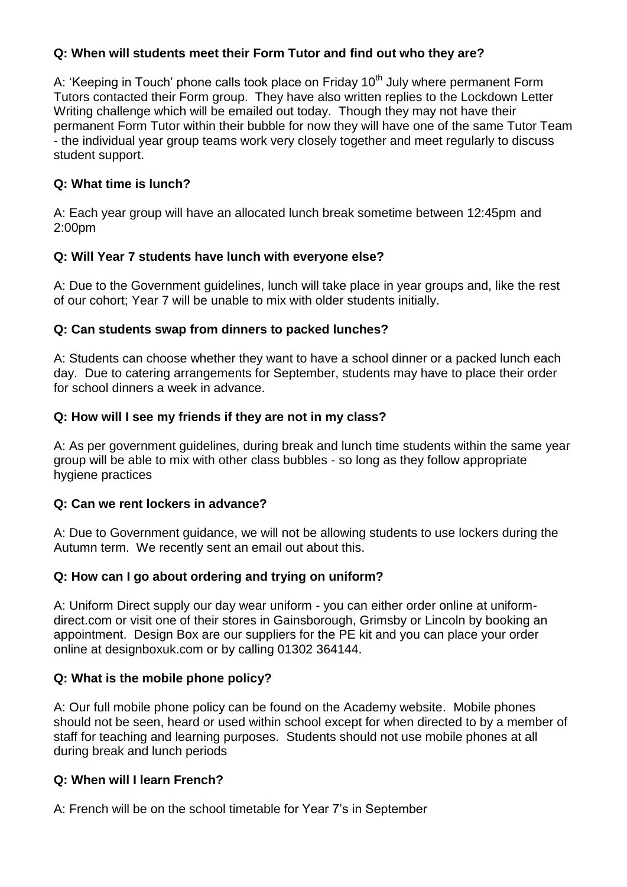# **Q: When will students meet their Form Tutor and find out who they are?**

A: 'Keeping in Touch' phone calls took place on Friday 10<sup>th</sup> July where permanent Form Tutors contacted their Form group. They have also written replies to the Lockdown Letter Writing challenge which will be emailed out today. Though they may not have their permanent Form Tutor within their bubble for now they will have one of the same Tutor Team - the individual year group teams work very closely together and meet regularly to discuss student support.

# **Q: What time is lunch?**

A: Each year group will have an allocated lunch break sometime between 12:45pm and 2:00pm

# **Q: Will Year 7 students have lunch with everyone else?**

A: Due to the Government guidelines, lunch will take place in year groups and, like the rest of our cohort; Year 7 will be unable to mix with older students initially.

# **Q: Can students swap from dinners to packed lunches?**

A: Students can choose whether they want to have a school dinner or a packed lunch each day. Due to catering arrangements for September, students may have to place their order for school dinners a week in advance.

# **Q: How will I see my friends if they are not in my class?**

A: As per government guidelines, during break and lunch time students within the same year group will be able to mix with other class bubbles - so long as they follow appropriate hygiene practices

# **Q: Can we rent lockers in advance?**

A: Due to Government guidance, we will not be allowing students to use lockers during the Autumn term. We recently sent an email out about this.

# **Q: How can I go about ordering and trying on uniform?**

A: Uniform Direct supply our day wear uniform - you can either order online at uniformdirect.com or visit one of their stores in Gainsborough, Grimsby or Lincoln by booking an appointment. Design Box are our suppliers for the PE kit and you can place your order online at designboxuk.com or by calling 01302 364144.

# **Q: What is the mobile phone policy?**

A: Our full mobile phone policy can be found on the Academy website. Mobile phones should not be seen, heard or used within school except for when directed to by a member of staff for teaching and learning purposes. Students should not use mobile phones at all during break and lunch periods

# **Q: When will I learn French?**

A: French will be on the school timetable for Year 7's in September